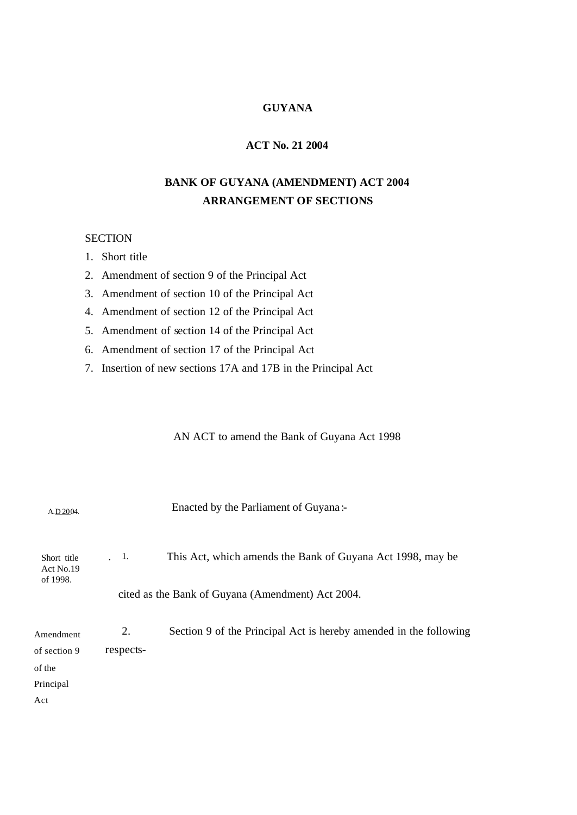## **GUYANA**

# **ACT No. 21 2004**

# **BANK OF GUYANA (AMENDMENT) ACT 2004 ARRANGEMENT OF SECTIONS**

## **SECTION**

1. Short title

2. Amendment of section 9 of the Principal Act

3. Amendment of section 10 of the Principal Act

4. Amendment of section 12 of the Principal Act

5. Amendment of section 14 of the Principal Act

- 6. Amendment of section 17 of the Principal Act
- 7. Insertion of new sections 17A and 17B in the Principal Act

AN ACT to amend the Bank of Guyana Act 1998

| A.D.2004.                            |                                                   | Enacted by the Parliament of Guyana:-                             |
|--------------------------------------|---------------------------------------------------|-------------------------------------------------------------------|
| Short title<br>Act No.19<br>of 1998. | . 1.                                              | This Act, which amends the Bank of Guyana Act 1998, may be        |
|                                      | cited as the Bank of Guyana (Amendment) Act 2004. |                                                                   |
| Amendment<br>of section 9            | 2.<br>respects-                                   | Section 9 of the Principal Act is hereby amended in the following |
| of the                               |                                                   |                                                                   |
| Principal                            |                                                   |                                                                   |
| Act                                  |                                                   |                                                                   |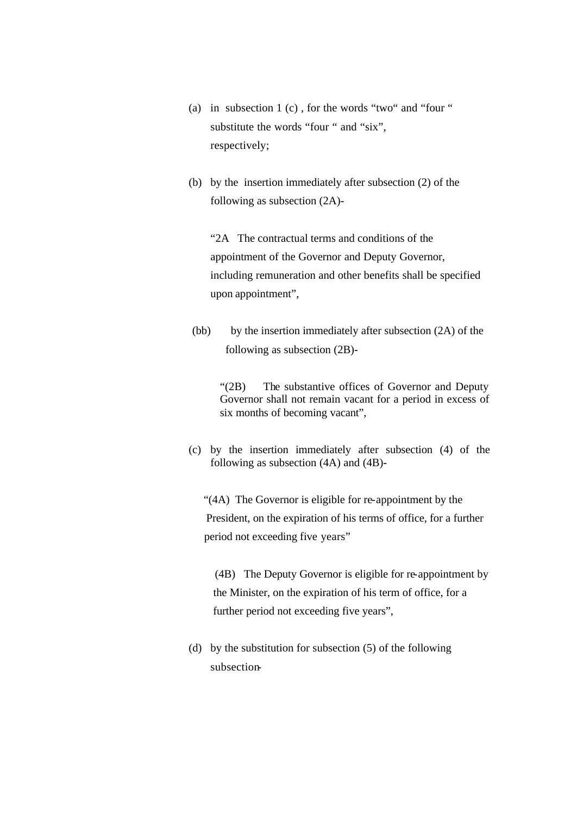- (a) in subsection 1 (c) , for the words "two" and "four " substitute the words "four " and "six", respectively;
- (b) by the insertion immediately after subsection (2) of the following as subsection (2A)-

"2A The contractual terms and conditions of the appointment of the Governor and Deputy Governor, including remuneration and other benefits shall be specified upon appointment",

(bb) by the insertion immediately after subsection (2A) of the following as subsection (2B)-

"(2B) The substantive offices of Governor and Deputy Governor shall not remain vacant for a period in excess of six months of becoming vacant",

(c) by the insertion immediately after subsection (4) of the following as subsection (4A) and (4B)-

 "(4A) The Governor is eligible for re-appointment by the President, on the expiration of his terms of office, for a further period not exceeding five years"

 (4B) The Deputy Governor is eligible for re-appointment by the Minister, on the expiration of his term of office, for a further period not exceeding five years",

(d) by the substitution for subsection (5) of the following subsection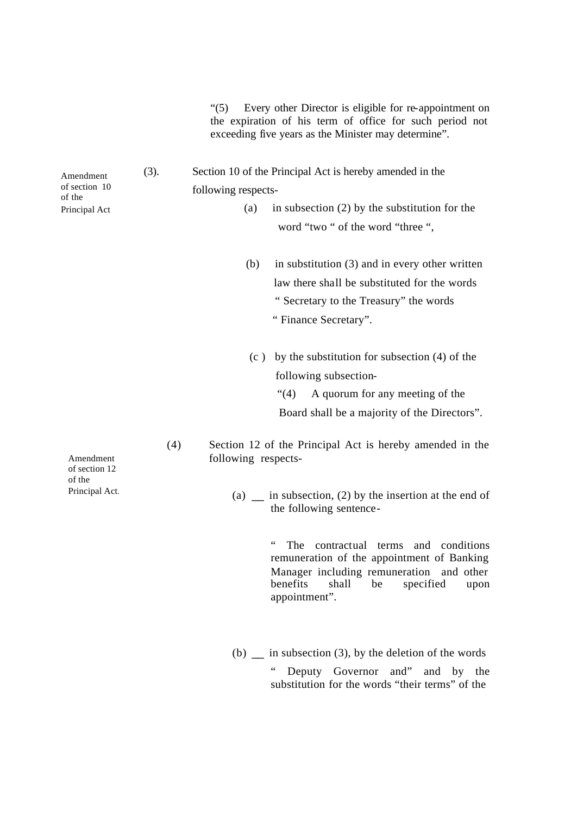"(5) Every other Director is eligible for re-appointment on the expiration of his term of office for such period not exceeding five years as the Minister may determine".

- (3). Section 10 of the Principal Act is hereby amended in the following respects-
	- (a) in subsection (2) by the substitution for the word "two " of the word "three ",
	- (b) in substitution (3) and in every other written law there shall be substituted for the words " Secretary to the Treasury" the words " Finance Secretary".
	- (c ) by the substitution for subsection (4) of the following subsection-
		- "(4) A quorum for any meeting of the Board shall be a majority of the Directors".
	- (4) Section 12 of the Principal Act is hereby amended in the following respects-
		- (a)  $\equiv$  in subsection, (2) by the insertion at the end of the following sentence-

" The contractual terms and conditions remuneration of the appointment of Banking Manager including remuneration and other benefits shall be specified upon appointment".

(b)  $\equiv$  in subsection (3), by the deletion of the words " Deputy Governor and" and by the substitution for the words "their terms" of the

Amendment of section 12 of the Principal Act.

Amendment of section 10 of the Principal Act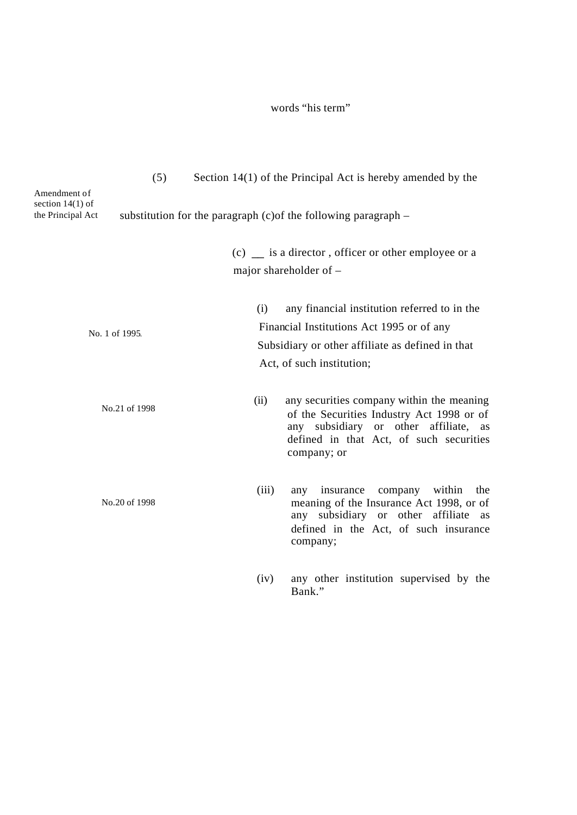# words "his term"

| (5)                                                     | Section $14(1)$ of the Principal Act is hereby amended by the                                                                                                                                     |
|---------------------------------------------------------|---------------------------------------------------------------------------------------------------------------------------------------------------------------------------------------------------|
| Amendment of<br>section $14(1)$ of<br>the Principal Act | substitution for the paragraph $(c)$ of the following paragraph $-$                                                                                                                               |
|                                                         | $(c)$ is a director, officer or other employee or a<br>major shareholder of -                                                                                                                     |
| No. 1 of 1995.                                          | any financial institution referred to in the<br>(i)<br>Financial Institutions Act 1995 or of any<br>Subsidiary or other affiliate as defined in that<br>Act, of such institution;                 |
| No.21 of 1998                                           | (ii)<br>any securities company within the meaning<br>of the Securities Industry Act 1998 or of<br>any subsidiary or other affiliate, as<br>defined in that Act, of such securities<br>company; or |
| No.20 of 1998                                           | within<br>(iii)<br>insurance<br>company<br>the<br>any<br>meaning of the Insurance Act 1998, or of<br>any subsidiary or other affiliate as<br>defined in the Act, of such insurance<br>company;    |
|                                                         | any other institution supervised by the<br>(iv)<br>Bank."                                                                                                                                         |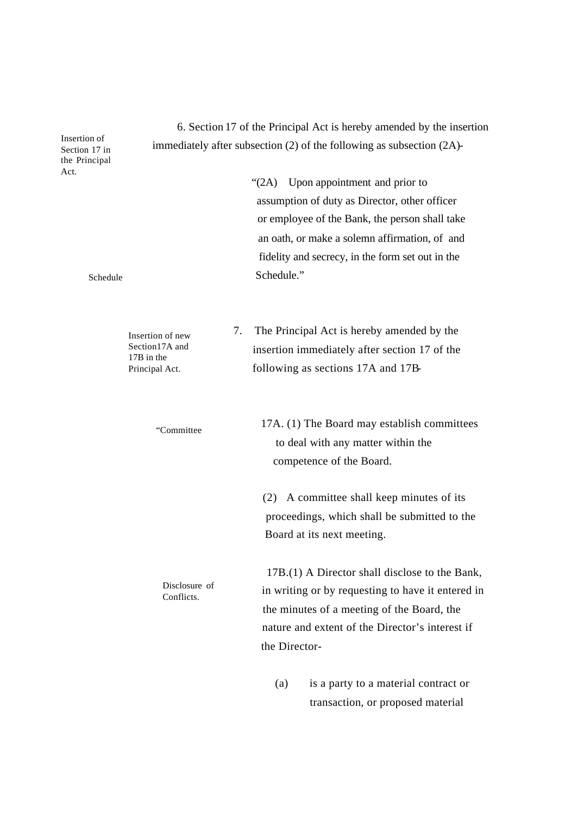6. Section 17 of the Principal Act is hereby amended by the insertion immediately after subsection (2) of the following as subsection (2A)-

> "(2A) Upon appointment and prior to assumption of duty as Director, other officer or employee of the Bank, the person shall take an oath, or make a solemn affirmation, of and fidelity and secrecy, in the form set out in the Schedule."

 7. The Principal Act is hereby amended by the insertion immediately after section 17 of the following as sections 17A and 17B-

 17A. (1) The Board may establish committees to deal with any matter within the competence of the Board.

(2) A committee shall keep minutes of its proceedings, which shall be submitted to the Board at its next meeting.

 17B.(1) A Director shall disclose to the Bank, in writing or by requesting to have it entered in the minutes of a meeting of the Board, the nature and extent of the Director's interest if the Director-

> (a) is a party to a material contract or transaction, or proposed material

 the Principal Insertion of Section 17 in Act.

Schedule

Insertion of new Section17A and 17B in the Principal Act.

"Committee

Disclosure of

Conflicts.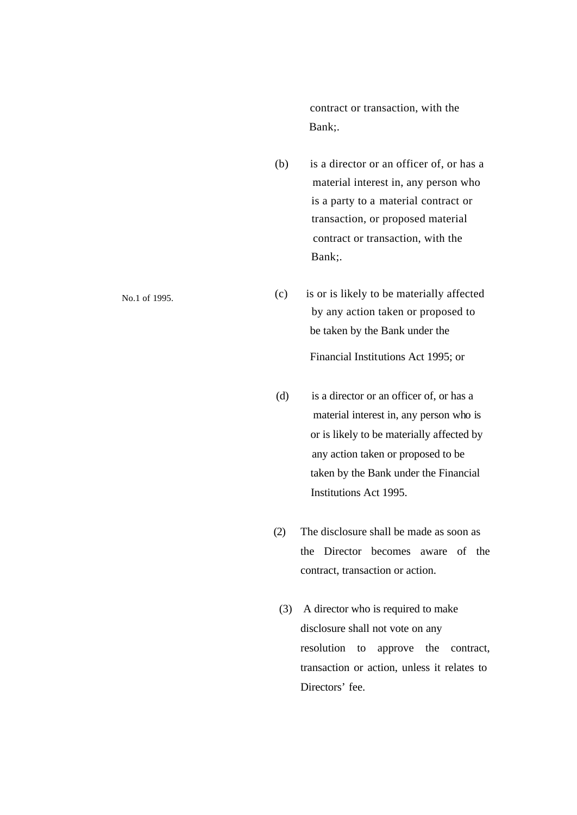contract or transaction, with the Bank;.

- (b) is a director or an officer of, or has a material interest in, any person who is a party to a material contract or transaction, or proposed material contract or transaction, with the Bank;.
- $(c)$  is or is likely to be materially affected by any action taken or proposed to be taken by the Bank under the Financial Institutions Act 1995; or
- (d) is a director or an officer of, or has a material interest in, any person who is or is likely to be materially affected by any action taken or proposed to be taken by the Bank under the Financial Institutions Act 1995.
- (2) The disclosure shall be made as soon as the Director becomes aware of the contract, transaction or action.
- (3) A director who is required to make disclosure shall not vote on any resolution to approve the contract, transaction or action, unless it relates to Directors' fee.

No.1 of 1995.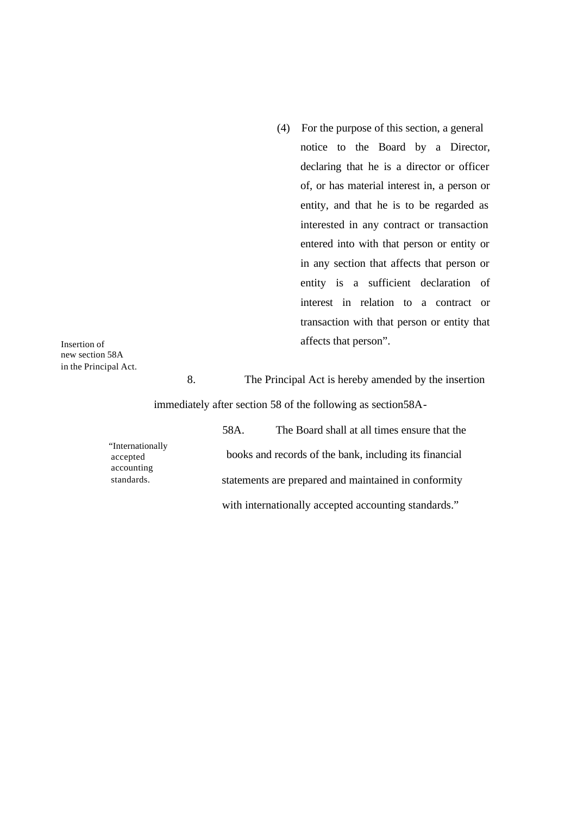(4) For the purpose of this section, a general notice to the Board by a Director, declaring that he is a director or officer of, or has material interest in, a person or entity, and that he is to be regarded as interested in any contract or transaction entered into with that person or entity or in any section that affects that person or entity is a sufficient declaration of interest in relation to a contract or transaction with that person or entity that affects that person".

Insertion of new section 58A in the Principal Act.

8. The Principal Act is hereby amended by the insertion immediately after section 58 of the following as section58A-

"Internationally accepted accounting standards.

 58A. The Board shall at all times ensure that the books and records of the bank, including its financial statements are prepared and maintained in conformity with internationally accepted accounting standards."